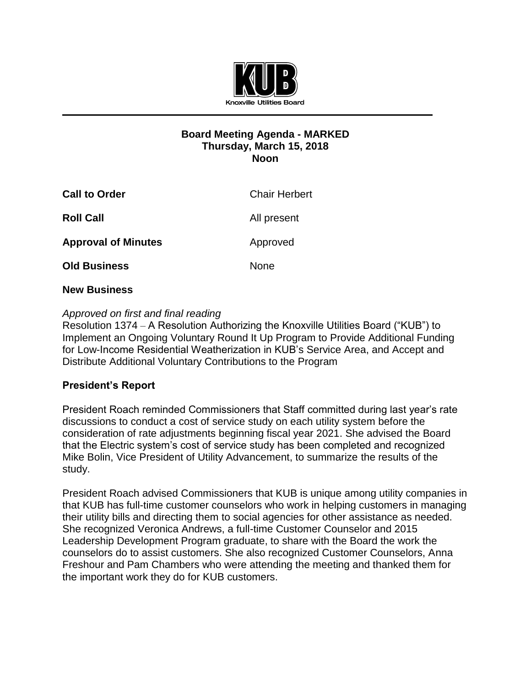

#### **Board Meeting Agenda - MARKED Thursday, March 15, 2018 Noon**

| <b>Call to Order</b>       | <b>Chair Herbert</b> |
|----------------------------|----------------------|
| <b>Roll Call</b>           | All present          |
| <b>Approval of Minutes</b> | Approved             |
| <b>Old Business</b>        | None                 |

#### **New Business**

### *Approved on first and final reading*

Resolution 1374 – A Resolution Authorizing the Knoxville Utilities Board ("KUB") to Implement an Ongoing Voluntary Round It Up Program to Provide Additional Funding for Low-Income Residential Weatherization in KUB's Service Area, and Accept and Distribute Additional Voluntary Contributions to the Program

#### **President's Report**

President Roach reminded Commissioners that Staff committed during last year's rate discussions to conduct a cost of service study on each utility system before the consideration of rate adjustments beginning fiscal year 2021. She advised the Board that the Electric system's cost of service study has been completed and recognized Mike Bolin, Vice President of Utility Advancement, to summarize the results of the study.

President Roach advised Commissioners that KUB is unique among utility companies in that KUB has full-time customer counselors who work in helping customers in managing their utility bills and directing them to social agencies for other assistance as needed. She recognized Veronica Andrews, a full-time Customer Counselor and 2015 Leadership Development Program graduate, to share with the Board the work the counselors do to assist customers. She also recognized Customer Counselors, Anna Freshour and Pam Chambers who were attending the meeting and thanked them for the important work they do for KUB customers.